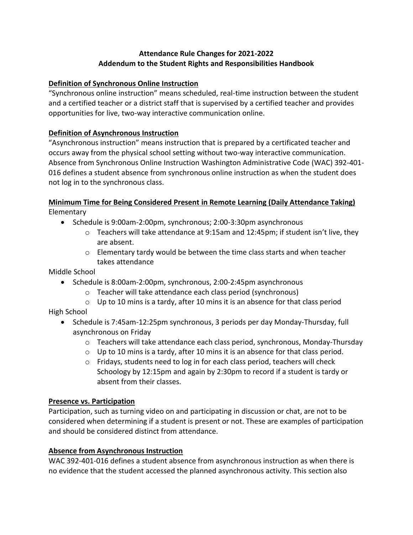# **Attendance Rule Changes for 2021-2022 Addendum to the Student Rights and Responsibilities Handbook**

## **Definition of Synchronous Online Instruction**

"Synchronous online instruction" means scheduled, real-time instruction between the student and a certified teacher or a district staff that is supervised by a certified teacher and provides opportunities for live, two-way interactive communication online.

# **Definition of Asynchronous Instruction**

"Asynchronous instruction" means instruction that is prepared by a certificated teacher and occurs away from the physical school setting without two-way interactive communication. Absence from Synchronous Online Instruction Washington Administrative Code (WAC) 392-401- 016 defines a student absence from synchronous online instruction as when the student does not log in to the synchronous class.

# **Minimum Time for Being Considered Present in Remote Learning (Daily Attendance Taking)**

Elementary

- Schedule is 9:00am-2:00pm, synchronous; 2:00-3:30pm asynchronous
	- $\circ$  Teachers will take attendance at 9:15am and 12:45pm; if student isn't live, they are absent.
	- $\circ$  Elementary tardy would be between the time class starts and when teacher takes attendance

Middle School

- Schedule is 8:00am-2:00pm, synchronous, 2:00-2:45pm asynchronous
	- o Teacher will take attendance each class period (synchronous)
	- $\circ$  Up to 10 mins is a tardy, after 10 mins it is an absence for that class period

High School

- Schedule is 7:45am-12:25pm synchronous, 3 periods per day Monday-Thursday, full asynchronous on Friday
	- $\circ$  Teachers will take attendance each class period, synchronous, Monday-Thursday
	- $\circ$  Up to 10 mins is a tardy, after 10 mins it is an absence for that class period.
	- $\circ$  Fridays, students need to log in for each class period, teachers will check Schoology by 12:15pm and again by 2:30pm to record if a student is tardy or absent from their classes.

# **Presence vs. Participation**

Participation, such as turning video on and participating in discussion or chat, are not to be considered when determining if a student is present or not. These are examples of participation and should be considered distinct from attendance.

# **Absence from Asynchronous Instruction**

WAC 392-401-016 defines a student absence from asynchronous instruction as when there is no evidence that the student accessed the planned asynchronous activity. This section also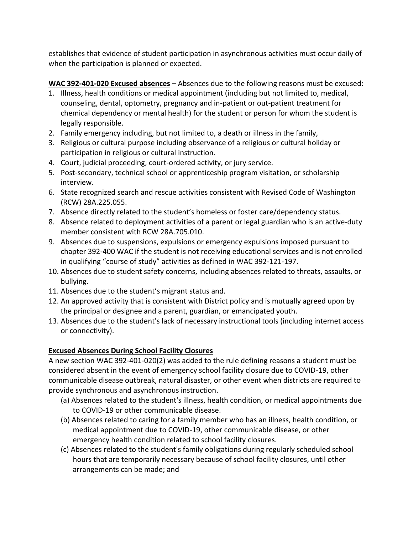establishes that evidence of student participation in asynchronous activities must occur daily of when the participation is planned or expected.

**WAC 392-401-020 Excused absences** – Absences due to the following reasons must be excused:

- 1. Illness, health conditions or medical appointment (including but not limited to, medical, counseling, dental, optometry, pregnancy and in-patient or out-patient treatment for chemical dependency or mental health) for the student or person for whom the student is legally responsible.
- 2. Family emergency including, but not limited to, a death or illness in the family,
- 3. Religious or cultural purpose including observance of a religious or cultural holiday or participation in religious or cultural instruction.
- 4. Court, judicial proceeding, court-ordered activity, or jury service.
- 5. Post-secondary, technical school or apprenticeship program visitation, or scholarship interview.
- 6. State recognized search and rescue activities consistent with Revised Code of Washington (RCW) 28A.225.055.
- 7. Absence directly related to the student's homeless or foster care/dependency status.
- 8. Absence related to deployment activities of a parent or legal guardian who is an active-duty member consistent with RCW 28A.705.010.
- 9. Absences due to suspensions, expulsions or emergency expulsions imposed pursuant to chapter 392-400 WAC if the student is not receiving educational services and is not enrolled in qualifying "course of study" activities as defined in WAC 392-121-197.
- 10. Absences due to student safety concerns, including absences related to threats, assaults, or bullying.
- 11. Absences due to the student's migrant status and.
- 12. An approved activity that is consistent with District policy and is mutually agreed upon by the principal or designee and a parent, guardian, or emancipated youth.
- 13. Absences due to the student's lack of necessary instructional tools (including internet access or connectivity).

# **Excused Absences During School Facility Closures**

A new section WAC 392-401-020(2) was added to the rule defining reasons a student must be considered absent in the event of emergency school facility closure due to COVID-19, other communicable disease outbreak, natural disaster, or other event when districts are required to provide synchronous and asynchronous instruction.

- (a) Absences related to the student's illness, health condition, or medical appointments due to COVID-19 or other communicable disease.
- (b) Absences related to caring for a family member who has an illness, health condition, or medical appointment due to COVID-19, other communicable disease, or other emergency health condition related to school facility closures.
- (c) Absences related to the student's family obligations during regularly scheduled school hours that are temporarily necessary because of school facility closures, until other arrangements can be made; and